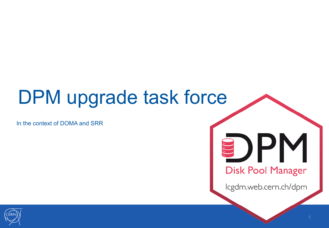#### DPM upgrade task force

In the context of DOMA and SRR

# )PM **Disk Pool Manager**

lcgdm.web.cern.ch/dpm

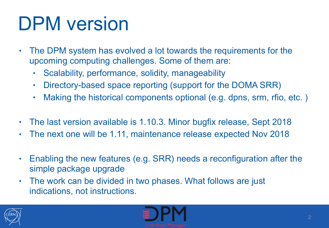#### DPM version

- The DPM system has evolved a lot towards the requirements for the upcoming computing challenges. Some of them are:
	- Scalability, performance, solidity, manageability
	- Directory-based space reporting (support for the DOMA SRR)
	- Making the historical components optional (e.g. dpns, srm, rfio, etc. )
- The last version available is 1.10.3. Minor bugfix release, Sept 2018
- The next one will be 1.11, maintenance release expected Nov 2018
- Enabling the new features (e.g. SRR) needs a reconfiguration after the simple package upgrade
- The work can be divided in two phases. What follows are just indications, not instructions.



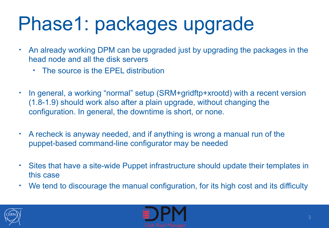## Phase1: packages upgrade

- An already working DPM can be upgraded just by upgrading the packages in the head node and all the disk servers
	- The source is the FPFL distribution
- In general, a working "normal" setup (SRM+gridftp+xrootd) with a recent version (1.8-1.9) should work also after a plain upgrade, without changing the configuration. In general, the downtime is short, or none.
- A recheck is anyway needed, and if anything is wrong a manual run of the puppet-based command-line configurator may be needed
- Sites that have a site-wide Puppet infrastructure should update their templates in this case
- We tend to discourage the manual configuration, for its high cost and its difficulty



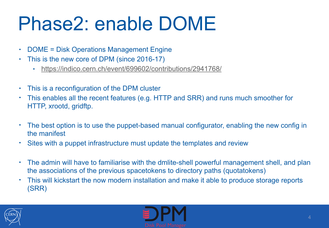#### Phase2: enable DOME

- DOME = Disk Operations Management Engine
- This is the new core of DPM (since 2016-17)
	- <https://indico.cern.ch/event/699602/contributions/2941768/>
- This is a reconfiguration of the DPM cluster
- This enables all the recent features (e.g. HTTP and SRR) and runs much smoother for HTTP, xrootd, gridftp.
- The best option is to use the puppet-based manual configurator, enabling the new config in the manifest
- Sites with a puppet infrastructure must update the templates and review
- The admin will have to familiarise with the dmlite-shell powerful management shell, and plan the associations of the previous spacetokens to directory paths (quotatokens)
- This will kickstart the now modern installation and make it able to produce storage reports (SRR)